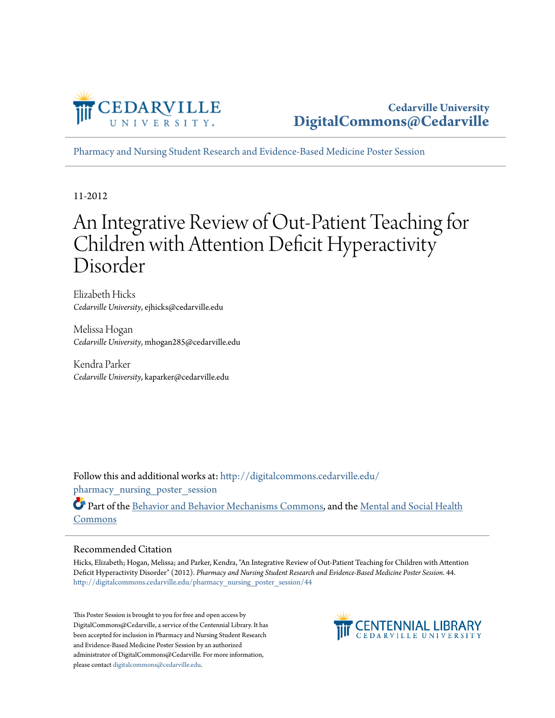

**Cedarville University [DigitalCommons@Cedarville](http://digitalcommons.cedarville.edu?utm_source=digitalcommons.cedarville.edu%2Fpharmacy_nursing_poster_session%2F44&utm_medium=PDF&utm_campaign=PDFCoverPages)**

[Pharmacy and Nursing Student Research and Evidence-Based Medicine Poster Session](http://digitalcommons.cedarville.edu/pharmacy_nursing_poster_session?utm_source=digitalcommons.cedarville.edu%2Fpharmacy_nursing_poster_session%2F44&utm_medium=PDF&utm_campaign=PDFCoverPages)

11-2012

#### An Integrative Review of Out-Patient Teaching for Children with Attention Deficit Hyperactivity Disorder

Elizabeth Hicks *Cedarville University*, ejhicks@cedarville.edu

Melissa Hogan *Cedarville University*, mhogan285@cedarville.edu

Kendra Parker *Cedarville University*, kaparker@cedarville.edu

Follow this and additional works at: [http://digitalcommons.cedarville.edu/](http://digitalcommons.cedarville.edu/pharmacy_nursing_poster_session?utm_source=digitalcommons.cedarville.edu%2Fpharmacy_nursing_poster_session%2F44&utm_medium=PDF&utm_campaign=PDFCoverPages) pharmacy nursing poster session

Part of the [Behavior and Behavior Mechanisms Commons,](http://network.bepress.com/hgg/discipline/963?utm_source=digitalcommons.cedarville.edu%2Fpharmacy_nursing_poster_session%2F44&utm_medium=PDF&utm_campaign=PDFCoverPages) and the [Mental and Social Health](http://network.bepress.com/hgg/discipline/709?utm_source=digitalcommons.cedarville.edu%2Fpharmacy_nursing_poster_session%2F44&utm_medium=PDF&utm_campaign=PDFCoverPages) [Commons](http://network.bepress.com/hgg/discipline/709?utm_source=digitalcommons.cedarville.edu%2Fpharmacy_nursing_poster_session%2F44&utm_medium=PDF&utm_campaign=PDFCoverPages)

#### Recommended Citation

Hicks, Elizabeth; Hogan, Melissa; and Parker, Kendra, "An Integrative Review of Out-Patient Teaching for Children with Attention Deficit Hyperactivity Disorder" (2012). *Pharmacy and Nursing Student Research and Evidence-Based Medicine Poster Session*. 44. [http://digitalcommons.cedarville.edu/pharmacy\\_nursing\\_poster\\_session/44](http://digitalcommons.cedarville.edu/pharmacy_nursing_poster_session/44?utm_source=digitalcommons.cedarville.edu%2Fpharmacy_nursing_poster_session%2F44&utm_medium=PDF&utm_campaign=PDFCoverPages)

This Poster Session is brought to you for free and open access by DigitalCommons@Cedarville, a service of the Centennial Library. It has been accepted for inclusion in Pharmacy and Nursing Student Research and Evidence-Based Medicine Poster Session by an authorized administrator of DigitalCommons@Cedarville. For more information, please contact [digitalcommons@cedarville.edu.](mailto:digitalcommons@cedarville.edu)